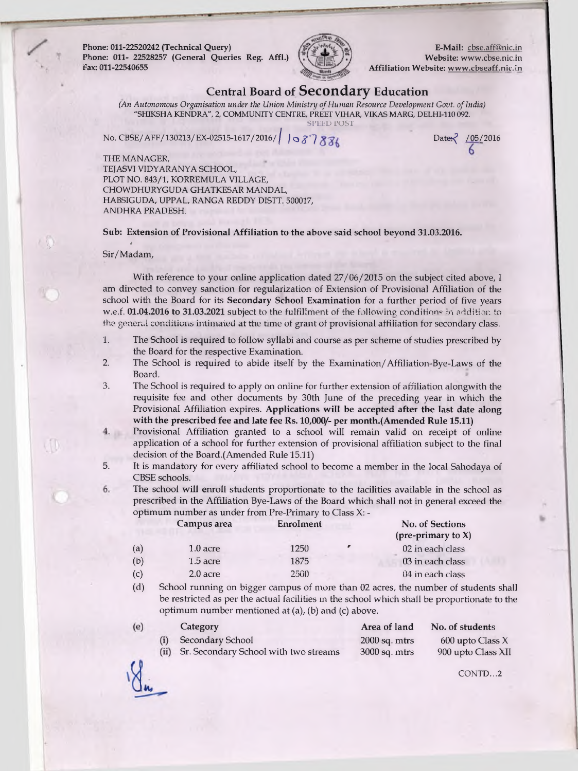**Phone: 011-22520242 (Technical Query) Phone: Oil- 22528257 (General Queries Reg. Affl.) Fax: 011-22540655**



**E-Mail: [cbse.aff@nic.in](mailto:cbse.aff@nic.in) Website: [www.cbse.nic.in](http://www.cbse.nic.in) Affiliation Website: [www.cbseaff.nic.in](http://www.cbseaff.nic.in)**

Date 7 / 05/2016

## **Central Board of Secondary Education**

*(An Autonomous Organisation under the Union Ministry of Human Resource Development Govt. of India)* **"SHIKSHA KENDRA", 2, COMMUNITY CENTRE, PREET VIHAR, VIKAS MARG, DELHI-110 092. SPEED POST**

**No. CBSE/AFF/130213/EX-02515-1617/2016***//* **/ o £ '7**

**THE MANAGER,**

**TEJASVI VIDYARANYA SCHOOL, PLOT NO. 843/1, KORREMULA VILLAGE, CHOWDHURYGUDA GHATKESAR MANDAL,** HABSIGUDA, UPPAL, RANGA REDDY DISTT. 500017, **ANDHRA PRADESH.**

**Sub: Extension of Provisional Affiliation to the above said school beyond 31.03.2016.**

*\** Sir/Madam,

With reference to your online application dated  $27/06/2015$  on the subject cited above, I am directed to convey sanction for regularization of Extension of Provisional Affiliation of the school with the Board for its **Secondary School Examination** for a further period of five years w.e.f. 01.04.2016 to 31.03.2021 subject to the fulfillment of the following conditions in addition to the general conditions intimated at the time of grant of provisional affiliation for secondary class.

- 1. The School is required to follow syllabi and course as per scheme of studies prescribed by the Board for the respective Examination.
- The School is required to abide itself by the Examination/Affiliation-Bye-Laws of the Board. **2**.
- The School is required to apply on online for further extension of affiliation alongwith the requisite fee and other documents by 30th June of the preceding year in which the Provisional Affiliation expires. **Applications will be accepted after the last date along with the prescribed fee and late fee Rs. 10,000/- per month.(Amended Rule 15.11)** 3.
	- Provisional Affiliation granted to a school will remain valid on receipt of online application of a school for further extension of provisional affiliation subject to the final decision of the Board.(Amended Rule 15.11)
- It is mandatory for every affiliated school to become a member in the local Sahodaya of CBSE schools. 5.
	- The school will enroll students proportionate to the facilities available in the school as prescribed in the Affiliation Bye-Laws of the Board which shall not in general exceed the optimum number as under from Pre-Primary to Class X: -

|     | Campus area | Enrolment | No. of Sections<br>(pre-primary to $X$ ) |
|-----|-------------|-----------|------------------------------------------|
| (a) | $1.0$ acre  | 1250      | 02 in each class                         |
| (b) | $1.5$ acre  | 1875      | 03 in each class                         |
| (c) | 2.0 acre    | 2500      | 04 in each class                         |

(d) School running on bigger campus of more than 02 acres, the number of students shall be restricted as per the actual facilities in the school which shall be proportionate to the optimum number mentioned at (a), (b) and (c) above.

| Category                                   | Area of land    | No. of students    |
|--------------------------------------------|-----------------|--------------------|
| Secondary School                           | $2000$ sq. mtrs | $600$ upto Class X |
| (ii) Sr. Secondary School with two streams | $3000$ sq. mtrs | 900 upto Class XII |

**CONTD...2**

6.

**A**